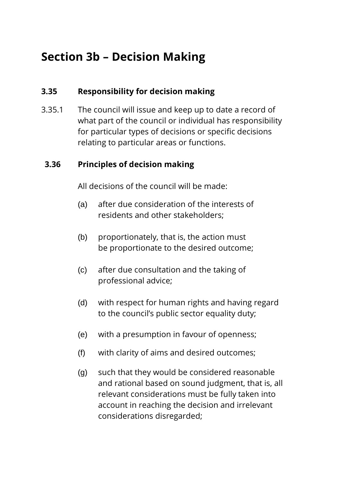# **Section 3b – Decision Making**

## **3.35 Responsibility for decision making**

3.35.1 The council will issue and keep up to date a record of what part of the council or individual has responsibility for particular types of decisions or specific decisions relating to particular areas or functions.

#### **3.36 Principles of decision making**

All decisions of the council will be made:

- (a) after due consideration of the interests of residents and other stakeholders;
- (b) proportionately, that is, the action must be proportionate to the desired outcome;
- (c) after due consultation and the taking of professional advice;
- (d) with respect for human rights and having regard to the council's public sector equality duty;
- (e) with a presumption in favour of openness;
- (f) with clarity of aims and desired outcomes;
- (g) such that they would be considered reasonable and rational based on sound judgment, that is, all relevant considerations must be fully taken into account in reaching the decision and irrelevant considerations disregarded;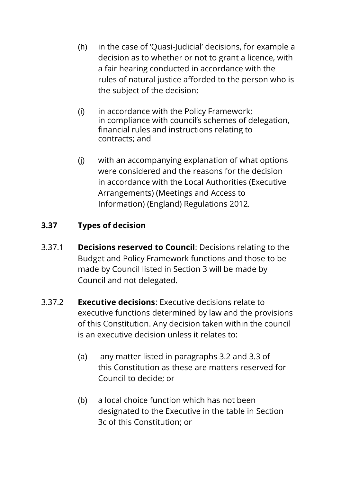- (h) in the case of 'Quasi-Judicial' decisions, for example a decision as to whether or not to grant a licence, with a fair hearing conducted in accordance with the rules of natural justice afforded to the person who is the subject of the decision;
- (i) in accordance with the Policy Framework; in compliance with council's schemes of delegation, financial rules and instructions relating to contracts; and
- (j) with an accompanying explanation of what options were considered and the reasons for the decision in accordance with the Local Authorities (Executive Arrangements) (Meetings and Access to Information) (England) Regulations 2012*.*

# **3.37 Types of decision**

- 3.37.1 **Decisions reserved to Council**: Decisions relating to the Budget and Policy Framework functions and those to be made by Council listed in Section 3 will be made by Council and not delegated.
- 3.37.2 **Executive decisions**: Executive decisions relate to executive functions determined by law and the provisions of this Constitution. Any decision taken within the council is an executive decision unless it relates to:
	- (a) any matter listed in paragraphs 3.2 and 3.3 of this Constitution as these are matters reserved for Council to decide; or
	- (b) a local choice function which has not been designated to the Executive in the table in Section 3c of this Constitution; or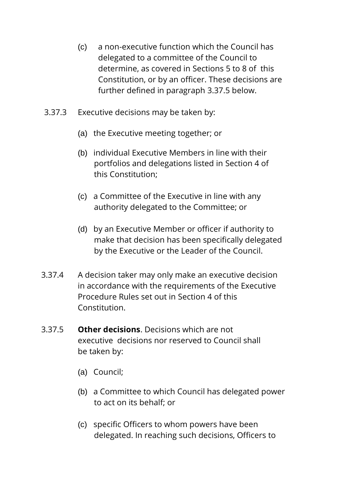- (c) a non-executive function which the Council has delegated to a committee of the Council to determine, as covered in Sections 5 to 8 of this Constitution, or by an officer. These decisions are further defined in paragraph 3.37.5 below.
- 3.37.3 Executive decisions may be taken by:
	- (a) the Executive meeting together; or
	- (b) individual Executive Members in line with their portfolios and delegations listed in Section 4 of this Constitution;
	- (c) a Committee of the Executive in line with any authority delegated to the Committee; or
	- (d) by an Executive Member or officer if authority to make that decision has been specifically delegated by the Executive or the Leader of the Council.
- 3.37.4 A decision taker may only make an executive decision in accordance with the requirements of the Executive Procedure Rules set out in Section 4 of this Constitution.
- 3.37.5 **Other decisions**. Decisions which are not executive decisions nor reserved to Council shall be taken by:
	- (a) Council;
	- (b) a Committee to which Council has delegated power to act on its behalf; or
	- (c) specific Officers to whom powers have been delegated. In reaching such decisions, Officers to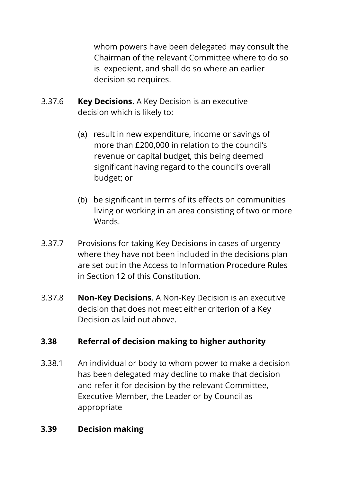whom powers have been delegated may consult the Chairman of the relevant Committee where to do so is expedient, and shall do so where an earlier decision so requires.

- 3.37.6 **Key Decisions**. A Key Decision is an executive decision which is likely to:
	- (a) result in new expenditure, income or savings of more than £200,000 in relation to the council's revenue or capital budget, this being deemed significant having regard to the council's overall budget; or
	- (b) be significant in terms of its effects on communities living or working in an area consisting of two or more Wards.
- 3.37.7 Provisions for taking Key Decisions in cases of urgency where they have not been included in the decisions plan are set out in the Access to Information Procedure Rules in Section 12 of this Constitution.
- 3.37.8 **Non-Key Decisions**. A Non-Key Decision is an executive decision that does not meet either criterion of a Key Decision as laid out above.

### **3.38 Referral of decision making to higher authority**

3.38.1 An individual or body to whom power to make a decision has been delegated may decline to make that decision and refer it for decision by the relevant Committee, Executive Member, the Leader or by Council as appropriate

#### **3.39 Decision making**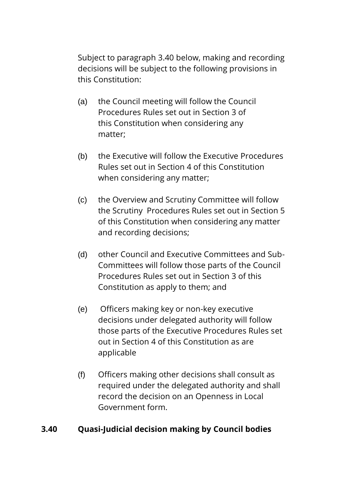Subject to paragraph 3.40 below, making and recording decisions will be subject to the following provisions in this Constitution:

- (a) the Council meeting will follow the Council Procedures Rules set out in Section 3 of this Constitution when considering any matter;
- (b) the Executive will follow the Executive Procedures Rules set out in Section 4 of this Constitution when considering any matter;
- (c) the Overview and Scrutiny Committee will follow the Scrutiny Procedures Rules set out in Section 5 of this Constitution when considering any matter and recording decisions;
- (d) other Council and Executive Committees and Sub-Committees will follow those parts of the Council Procedures Rules set out in Section 3 of this Constitution as apply to them; and
- (e) Officers making key or non-key executive decisions under delegated authority will follow those parts of the Executive Procedures Rules set out in Section 4 of this Constitution as are applicable
- (f) Officers making other decisions shall consult as required under the delegated authority and shall record the decision on an Openness in Local Government form.

### **3.40 Quasi-Judicial decision making by Council bodies**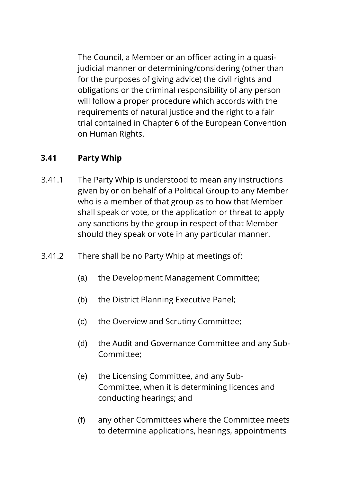The Council, a Member or an officer acting in a quasijudicial manner or determining/considering (other than for the purposes of giving advice) the civil rights and obligations or the criminal responsibility of any person will follow a proper procedure which accords with the requirements of natural justice and the right to a fair trial contained in Chapter 6 of the European Convention on Human Rights.

### **3.41 Party Whip**

- 3.41.1 The Party Whip is understood to mean any instructions given by or on behalf of a Political Group to any Member who is a member of that group as to how that Member shall speak or vote, or the application or threat to apply any sanctions by the group in respect of that Member should they speak or vote in any particular manner.
- 3.41.2 There shall be no Party Whip at meetings of:
	- (a) the Development Management Committee;
	- (b) the District Planning Executive Panel;
	- (c) the Overview and Scrutiny Committee;
	- (d) the Audit and Governance Committee and any Sub-Committee;
	- (e) the Licensing Committee, and any Sub-Committee, when it is determining licences and conducting hearings; and
	- (f) any other Committees where the Committee meets to determine applications, hearings, appointments